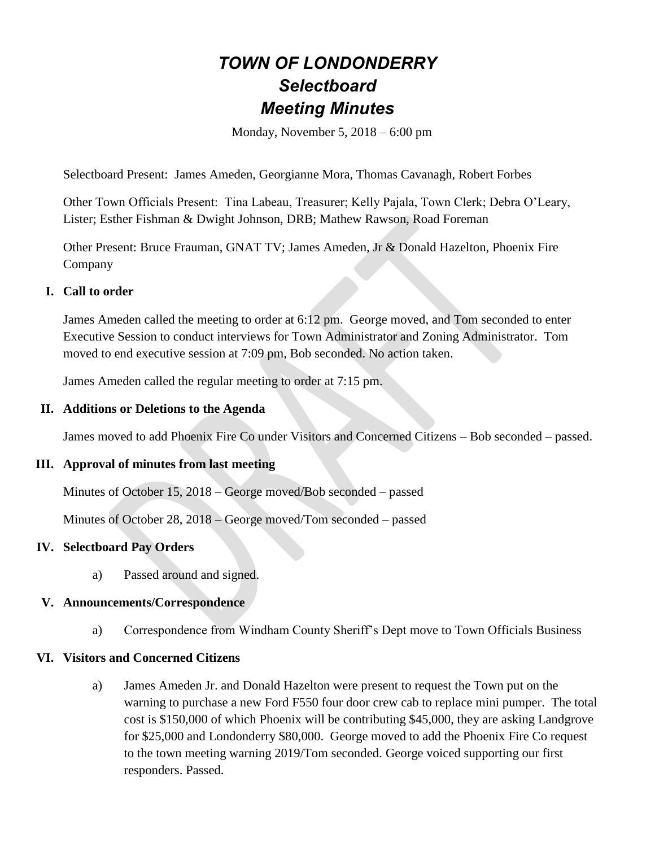# *TOWN OF LONDONDERRY Selectboard Meeting Minutes*

Monday, November 5, 2018 – 6:00 pm

Selectboard Present: James Ameden, Georgianne Mora, Thomas Cavanagh, Robert Forbes

Other Town Officials Present: Tina Labeau, Treasurer; Kelly Pajala, Town Clerk; Debra O'Leary, Lister; Esther Fishman & Dwight Johnson, DRB; Mathew Rawson, Road Foreman

Other Present: Bruce Frauman, GNAT TV; James Ameden, Jr & Donald Hazelton, Phoenix Fire Company

#### **I. Call to order**

James Ameden called the meeting to order at 6:12 pm. George moved, and Tom seconded to enter Executive Session to conduct interviews for Town Administrator and Zoning Administrator. Tom moved to end executive session at 7:09 pm, Bob seconded. No action taken.

James Ameden called the regular meeting to order at 7:15 pm.

#### **II. Additions or Deletions to the Agenda**

James moved to add Phoenix Fire Co under Visitors and Concerned Citizens – Bob seconded – passed.

#### **III. Approval of minutes from last meeting**

Minutes of October 15, 2018 – George moved/Bob seconded – passed

Minutes of October 28, 2018 – George moved/Tom seconded – passed

## **IV. Selectboard Pay Orders**

a) Passed around and signed.

#### **V. Announcements/Correspondence**

a) Correspondence from Windham County Sheriff's Dept move to Town Officials Business

#### **VI. Visitors and Concerned Citizens**

a) James Ameden Jr. and Donald Hazelton were present to request the Town put on the warning to purchase a new Ford F550 four door crew cab to replace mini pumper. The total cost is \$150,000 of which Phoenix will be contributing \$45,000, they are asking Landgrove for \$25,000 and Londonderry \$80,000. George moved to add the Phoenix Fire Co request to the town meeting warning 2019/Tom seconded. George voiced supporting our first responders. Passed.